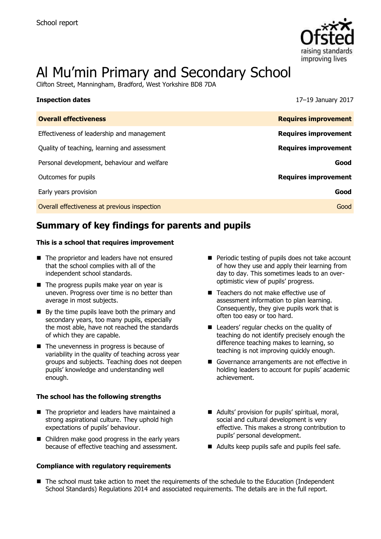

# Al Mu'min Primary and Secondary School

Clifton Street, Manningham, Bradford, West Yorkshire BD8 7DA

| <b>Inspection dates</b>                      | 17-19 January 2017          |
|----------------------------------------------|-----------------------------|
| <b>Overall effectiveness</b>                 | <b>Requires improvement</b> |
| Effectiveness of leadership and management   | <b>Requires improvement</b> |
| Quality of teaching, learning and assessment | <b>Requires improvement</b> |
| Personal development, behaviour and welfare  | Good                        |
| Outcomes for pupils                          | <b>Requires improvement</b> |
| Early years provision                        | Good                        |
| Overall effectiveness at previous inspection | Good                        |

# **Summary of key findings for parents and pupils**

### **This is a school that requires improvement**

- The proprietor and leaders have not ensured that the school complies with all of the independent school standards.
- The progress pupils make year on year is uneven. Progress over time is no better than average in most subjects.
- $\blacksquare$  By the time pupils leave both the primary and secondary years, too many pupils, especially the most able, have not reached the standards of which they are capable.
- The unevenness in progress is because of variability in the quality of teaching across year groups and subjects. Teaching does not deepen pupils' knowledge and understanding well enough.

### **The school has the following strengths**

- The proprietor and leaders have maintained a strong aspirational culture. They uphold high expectations of pupils' behaviour.
- Children make good progress in the early vears because of effective teaching and assessment.

### **Compliance with regulatory requirements**

- **Periodic testing of pupils does not take account** of how they use and apply their learning from day to day. This sometimes leads to an overoptimistic view of pupils' progress.
- Teachers do not make effective use of assessment information to plan learning. Consequently, they give pupils work that is often too easy or too hard.
- Leaders' regular checks on the quality of teaching do not identify precisely enough the difference teaching makes to learning, so teaching is not improving quickly enough.
- Governance arrangements are not effective in holding leaders to account for pupils' academic achievement.
- Adults' provision for pupils' spiritual, moral, social and cultural development is very effective. This makes a strong contribution to pupils' personal development.
- Adults keep pupils safe and pupils feel safe.
- The school must take action to meet the requirements of the schedule to the Education (Independent School Standards) Regulations 2014 and associated requirements. The details are in the full report.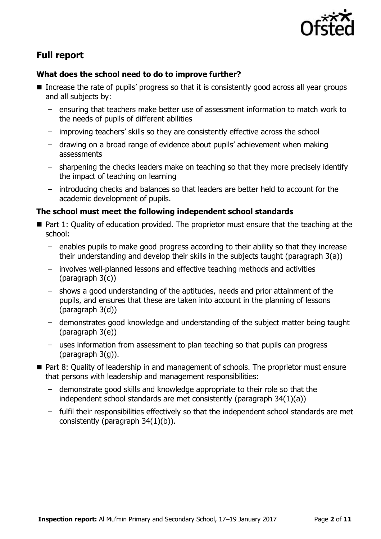

# **Full report**

### **What does the school need to do to improve further?**

- $\blacksquare$  Increase the rate of pupils' progress so that it is consistently good across all year groups and all subjects by:
	- ensuring that teachers make better use of assessment information to match work to the needs of pupils of different abilities
	- improving teachers' skills so they are consistently effective across the school
	- drawing on a broad range of evidence about pupils' achievement when making assessments
	- sharpening the checks leaders make on teaching so that they more precisely identify the impact of teaching on learning
	- introducing checks and balances so that leaders are better held to account for the academic development of pupils.

### **The school must meet the following independent school standards**

- Part 1: Quality of education provided. The proprietor must ensure that the teaching at the school:
	- enables pupils to make good progress according to their ability so that they increase their understanding and develop their skills in the subjects taught (paragraph 3(a))
	- involves well-planned lessons and effective teaching methods and activities (paragraph 3(c))
	- shows a good understanding of the aptitudes, needs and prior attainment of the pupils, and ensures that these are taken into account in the planning of lessons (paragraph 3(d))
	- demonstrates good knowledge and understanding of the subject matter being taught (paragraph 3(e))
	- uses information from assessment to plan teaching so that pupils can progress (paragraph 3(g)).
- Part 8: Quality of leadership in and management of schools. The proprietor must ensure that persons with leadership and management responsibilities:
	- demonstrate good skills and knowledge appropriate to their role so that the independent school standards are met consistently (paragraph 34(1)(a))
	- fulfil their responsibilities effectively so that the independent school standards are met consistently (paragraph 34(1)(b)).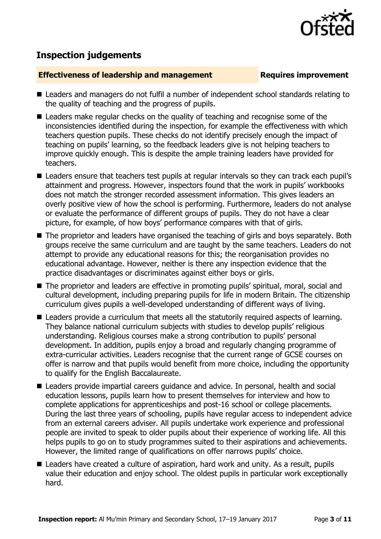

# **Inspection judgements**

### **Effectiveness of leadership and management Requires improvement**

- Leaders and managers do not fulfil a number of independent school standards relating to the quality of teaching and the progress of pupils.
- Leaders make regular checks on the quality of teaching and recognise some of the inconsistencies identified during the inspection, for example the effectiveness with which teachers question pupils. These checks do not identify precisely enough the impact of teaching on pupils' learning, so the feedback leaders give is not helping teachers to improve quickly enough. This is despite the ample training leaders have provided for teachers.
- Leaders ensure that teachers test pupils at regular intervals so they can track each pupil's attainment and progress. However, inspectors found that the work in pupils' workbooks does not match the stronger recorded assessment information. This gives leaders an overly positive view of how the school is performing. Furthermore, leaders do not analyse or evaluate the performance of different groups of pupils. They do not have a clear picture, for example, of how boys' performance compares with that of girls.
- The proprietor and leaders have organised the teaching of girls and boys separately. Both groups receive the same curriculum and are taught by the same teachers. Leaders do not attempt to provide any educational reasons for this; the reorganisation provides no educational advantage. However, neither is there any inspection evidence that the practice disadvantages or discriminates against either boys or girls.
- The proprietor and leaders are effective in promoting pupils' spiritual, moral, social and cultural development, including preparing pupils for life in modern Britain. The citizenship curriculum gives pupils a well-developed understanding of different ways of living.
- **E** Leaders provide a curriculum that meets all the statutorily required aspects of learning. They balance national curriculum subjects with studies to develop pupils' religious understanding. Religious courses make a strong contribution to pupils' personal development. In addition, pupils enjoy a broad and regularly changing programme of extra-curricular activities. Leaders recognise that the current range of GCSE courses on offer is narrow and that pupils would benefit from more choice, including the opportunity to qualify for the English Baccalaureate.
- Leaders provide impartial careers guidance and advice. In personal, health and social education lessons, pupils learn how to present themselves for interview and how to complete applications for apprenticeships and post-16 school or college placements. During the last three years of schooling, pupils have regular access to independent advice from an external careers adviser. All pupils undertake work experience and professional people are invited to speak to older pupils about their experience of working life. All this helps pupils to go on to study programmes suited to their aspirations and achievements. However, the limited range of qualifications on offer narrows pupils' choice.
- Leaders have created a culture of aspiration, hard work and unity. As a result, pupils value their education and enjoy school. The oldest pupils in particular work exceptionally hard.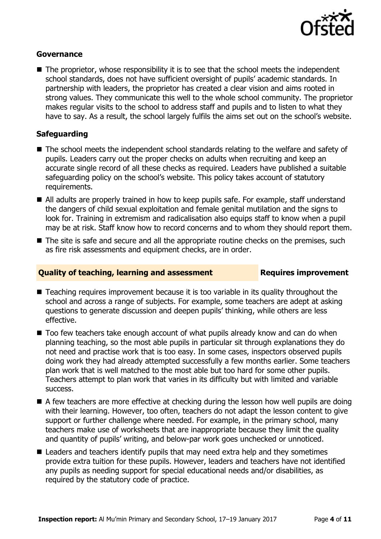

### **Governance**

 $\blacksquare$  The proprietor, whose responsibility it is to see that the school meets the independent school standards, does not have sufficient oversight of pupils' academic standards. In partnership with leaders, the proprietor has created a clear vision and aims rooted in strong values. They communicate this well to the whole school community. The proprietor makes regular visits to the school to address staff and pupils and to listen to what they have to say. As a result, the school largely fulfils the aims set out on the school's website.

### **Safeguarding**

- The school meets the independent school standards relating to the welfare and safety of pupils. Leaders carry out the proper checks on adults when recruiting and keep an accurate single record of all these checks as required. Leaders have published a suitable safeguarding policy on the school's website. This policy takes account of statutory requirements.
- All adults are properly trained in how to keep pupils safe. For example, staff understand the dangers of child sexual exploitation and female genital mutilation and the signs to look for. Training in extremism and radicalisation also equips staff to know when a pupil may be at risk. Staff know how to record concerns and to whom they should report them.
- The site is safe and secure and all the appropriate routine checks on the premises, such as fire risk assessments and equipment checks, are in order.

### **Quality of teaching, learning and assessment Fig. 2.1 Requires improvement**

- Teaching requires improvement because it is too variable in its quality throughout the school and across a range of subjects. For example, some teachers are adept at asking questions to generate discussion and deepen pupils' thinking, while others are less effective.
- Too few teachers take enough account of what pupils already know and can do when planning teaching, so the most able pupils in particular sit through explanations they do not need and practise work that is too easy. In some cases, inspectors observed pupils doing work they had already attempted successfully a few months earlier. Some teachers plan work that is well matched to the most able but too hard for some other pupils. Teachers attempt to plan work that varies in its difficulty but with limited and variable success.
- A few teachers are more effective at checking during the lesson how well pupils are doing with their learning. However, too often, teachers do not adapt the lesson content to give support or further challenge where needed. For example, in the primary school, many teachers make use of worksheets that are inappropriate because they limit the quality and quantity of pupils' writing, and below-par work goes unchecked or unnoticed.
- Leaders and teachers identify pupils that may need extra help and they sometimes provide extra tuition for these pupils. However, leaders and teachers have not identified any pupils as needing support for special educational needs and/or disabilities, as required by the statutory code of practice.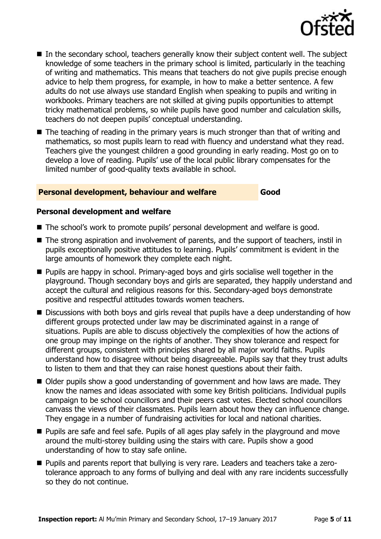

- In the secondary school, teachers generally know their subject content well. The subject knowledge of some teachers in the primary school is limited, particularly in the teaching of writing and mathematics. This means that teachers do not give pupils precise enough advice to help them progress, for example, in how to make a better sentence. A few adults do not use always use standard English when speaking to pupils and writing in workbooks. Primary teachers are not skilled at giving pupils opportunities to attempt tricky mathematical problems, so while pupils have good number and calculation skills, teachers do not deepen pupils' conceptual understanding.
- The teaching of reading in the primary years is much stronger than that of writing and mathematics, so most pupils learn to read with fluency and understand what they read. Teachers give the youngest children a good grounding in early reading. Most go on to develop a love of reading. Pupils' use of the local public library compensates for the limited number of good-quality texts available in school.

### **Personal development, behaviour and welfare Good**

### **Personal development and welfare**

- The school's work to promote pupils' personal development and welfare is good.
- The strong aspiration and involvement of parents, and the support of teachers, instil in pupils exceptionally positive attitudes to learning. Pupils' commitment is evident in the large amounts of homework they complete each night.
- **Pupils are happy in school. Primary-aged boys and girls socialise well together in the** playground. Though secondary boys and girls are separated, they happily understand and accept the cultural and religious reasons for this. Secondary-aged boys demonstrate positive and respectful attitudes towards women teachers.
- Discussions with both boys and girls reveal that pupils have a deep understanding of how different groups protected under law may be discriminated against in a range of situations. Pupils are able to discuss objectively the complexities of how the actions of one group may impinge on the rights of another. They show tolerance and respect for different groups, consistent with principles shared by all major world faiths. Pupils understand how to disagree without being disagreeable. Pupils say that they trust adults to listen to them and that they can raise honest questions about their faith.
- Older pupils show a good understanding of government and how laws are made. They know the names and ideas associated with some key British politicians. Individual pupils campaign to be school councillors and their peers cast votes. Elected school councillors canvass the views of their classmates. Pupils learn about how they can influence change. They engage in a number of fundraising activities for local and national charities.
- **Pupils are safe and feel safe. Pupils of all ages play safely in the playground and move** around the multi-storey building using the stairs with care. Pupils show a good understanding of how to stay safe online.
- Pupils and parents report that bullying is very rare. Leaders and teachers take a zerotolerance approach to any forms of bullying and deal with any rare incidents successfully so they do not continue.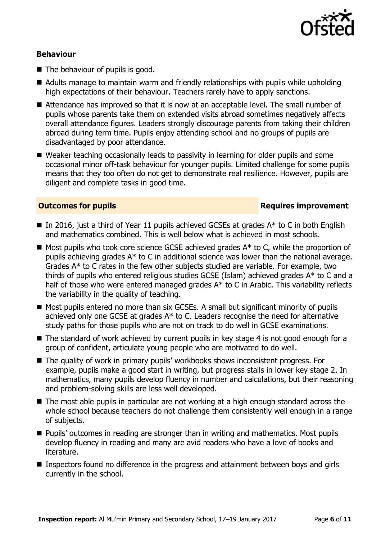

### **Behaviour**

- The behaviour of pupils is good.
- Adults manage to maintain warm and friendly relationships with pupils while upholding high expectations of their behaviour. Teachers rarely have to apply sanctions.
- Attendance has improved so that it is now at an acceptable level. The small number of pupils whose parents take them on extended visits abroad sometimes negatively affects overall attendance figures. Leaders strongly discourage parents from taking their children abroad during term time. Pupils enjoy attending school and no groups of pupils are disadvantaged by poor attendance.
- Weaker teaching occasionally leads to passivity in learning for older pupils and some occasional minor off-task behaviour for younger pupils. Limited challenge for some pupils means that they too often do not get to demonstrate real resilience. However, pupils are diligent and complete tasks in good time.

### **Outcomes for pupils Requires improvement**

- In 2016, just a third of Year 11 pupils achieved GCSEs at grades  $A^*$  to C in both English and mathematics combined. This is well below what is achieved in most schools.
- $\blacksquare$  Most pupils who took core science GCSE achieved grades  $A^*$  to C, while the proportion of pupils achieving grades A\* to C in additional science was lower than the national average. Grades A\* to C rates in the few other subjects studied are variable. For example, two thirds of pupils who entered religious studies GCSE (Islam) achieved grades A\* to C and a half of those who were entered managed grades A\* to C in Arabic. This variability reflects the variability in the quality of teaching.
- Most pupils entered no more than six GCSEs. A small but significant minority of pupils achieved only one GCSE at grades A\* to C. Leaders recognise the need for alternative study paths for those pupils who are not on track to do well in GCSE examinations.
- The standard of work achieved by current pupils in key stage 4 is not good enough for a group of confident, articulate young people who are motivated to do well.
- The quality of work in primary pupils' workbooks shows inconsistent progress. For example, pupils make a good start in writing, but progress stalls in lower key stage 2. In mathematics, many pupils develop fluency in number and calculations, but their reasoning and problem-solving skills are less well developed.
- The most able pupils in particular are not working at a high enough standard across the whole school because teachers do not challenge them consistently well enough in a range of subjects.
- **Pupils'** outcomes in reading are stronger than in writing and mathematics. Most pupils develop fluency in reading and many are avid readers who have a love of books and literature.
- Inspectors found no difference in the progress and attainment between boys and girls currently in the school.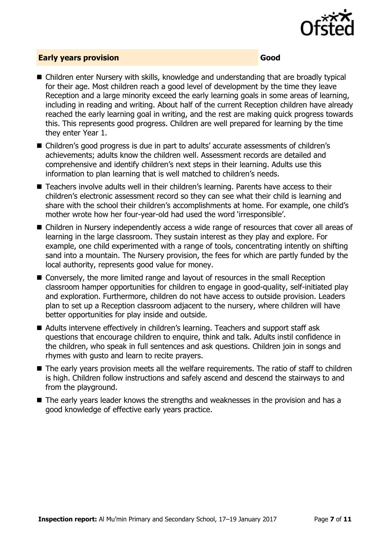

### **Early years provision Good Good**

- Children enter Nursery with skills, knowledge and understanding that are broadly typical for their age. Most children reach a good level of development by the time they leave Reception and a large minority exceed the early learning goals in some areas of learning, including in reading and writing. About half of the current Reception children have already reached the early learning goal in writing, and the rest are making quick progress towards this. This represents good progress. Children are well prepared for learning by the time they enter Year 1.
- Children's good progress is due in part to adults' accurate assessments of children's achievements; adults know the children well. Assessment records are detailed and comprehensive and identify children's next steps in their learning. Adults use this information to plan learning that is well matched to children's needs.
- Teachers involve adults well in their children's learning. Parents have access to their children's electronic assessment record so they can see what their child is learning and share with the school their children's accomplishments at home. For example, one child's mother wrote how her four-year-old had used the word 'irresponsible'.
- Children in Nursery independently access a wide range of resources that cover all areas of learning in the large classroom. They sustain interest as they play and explore. For example, one child experimented with a range of tools, concentrating intently on shifting sand into a mountain. The Nursery provision, the fees for which are partly funded by the local authority, represents good value for money.
- Conversely, the more limited range and layout of resources in the small Reception classroom hamper opportunities for children to engage in good-quality, self-initiated play and exploration. Furthermore, children do not have access to outside provision. Leaders plan to set up a Reception classroom adjacent to the nursery, where children will have better opportunities for play inside and outside.
- Adults intervene effectively in children's learning. Teachers and support staff ask questions that encourage children to enquire, think and talk. Adults instil confidence in the children, who speak in full sentences and ask questions. Children join in songs and rhymes with gusto and learn to recite prayers.
- The early years provision meets all the welfare requirements. The ratio of staff to children is high. Children follow instructions and safely ascend and descend the stairways to and from the playground.
- The early years leader knows the strengths and weaknesses in the provision and has a good knowledge of effective early years practice.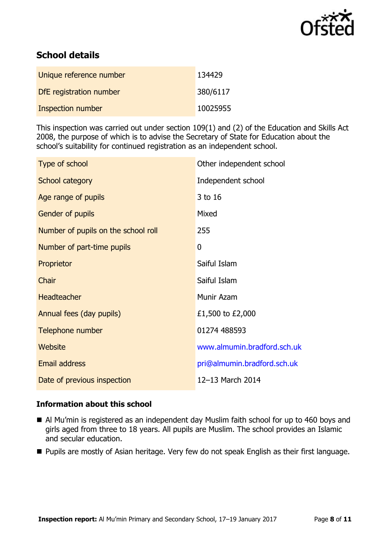

# **School details**

| Unique reference number  | 134429   |
|--------------------------|----------|
| DfE registration number  | 380/6117 |
| <b>Inspection number</b> | 10025955 |

This inspection was carried out under section 109(1) and (2) of the Education and Skills Act 2008, the purpose of which is to advise the Secretary of State for Education about the school's suitability for continued registration as an independent school.

| Type of school                      | Other independent school    |
|-------------------------------------|-----------------------------|
| School category                     | Independent school          |
| Age range of pupils                 | 3 to 16                     |
| Gender of pupils                    | Mixed                       |
| Number of pupils on the school roll | 255                         |
| Number of part-time pupils          | $\mathbf{0}$                |
| Proprietor                          | Saiful Islam                |
| Chair                               | Saiful Islam                |
| Headteacher                         | Munir Azam                  |
| Annual fees (day pupils)            | £1,500 to £2,000            |
| Telephone number                    | 01274 488593                |
| Website                             | www.almumin.bradford.sch.uk |
| Email address                       | pri@almumin.bradford.sch.uk |
| Date of previous inspection         | 12-13 March 2014            |

### **Information about this school**

- Al Mu'min is registered as an independent day Muslim faith school for up to 460 boys and girls aged from three to 18 years. All pupils are Muslim. The school provides an Islamic and secular education.
- **Pupils are mostly of Asian heritage. Very few do not speak English as their first language.**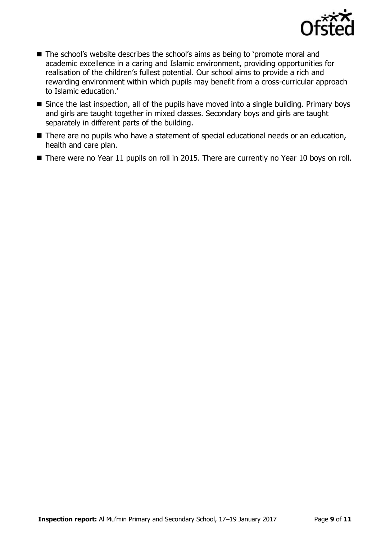

- The school's website describes the school's aims as being to 'promote moral and academic excellence in a caring and Islamic environment, providing opportunities for realisation of the children's fullest potential. Our school aims to provide a rich and rewarding environment within which pupils may benefit from a cross-curricular approach to Islamic education.'
- Since the last inspection, all of the pupils have moved into a single building. Primary boys and girls are taught together in mixed classes. Secondary boys and girls are taught separately in different parts of the building.
- There are no pupils who have a statement of special educational needs or an education, health and care plan.
- There were no Year 11 pupils on roll in 2015. There are currently no Year 10 boys on roll.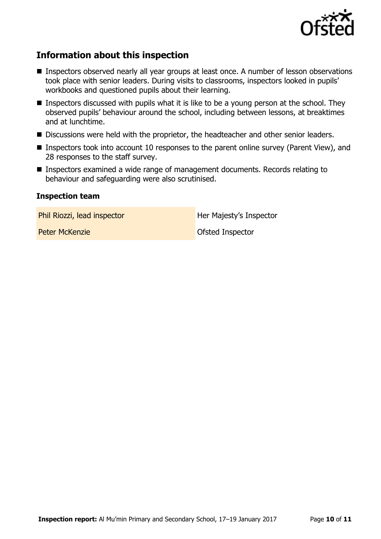

# **Information about this inspection**

- **Inspectors observed nearly all year groups at least once. A number of lesson observations** took place with senior leaders. During visits to classrooms, inspectors looked in pupils' workbooks and questioned pupils about their learning.
- **Inspectors discussed with pupils what it is like to be a young person at the school. They** observed pupils' behaviour around the school, including between lessons, at breaktimes and at lunchtime.
- Discussions were held with the proprietor, the headteacher and other senior leaders.
- Inspectors took into account 10 responses to the parent online survey (Parent View), and 28 responses to the staff survey.
- Inspectors examined a wide range of management documents. Records relating to behaviour and safeguarding were also scrutinised.

### **Inspection team**

Phil Riozzi, lead inspector **Her Majesty's Inspector** 

Peter McKenzie **Disk and The Contract Contract Contract Contract Contract Contract Contract Contract Contract Contract Contract Contract Contract Contract Contract Contract Contract Contract Contract Contract Contract Cont**